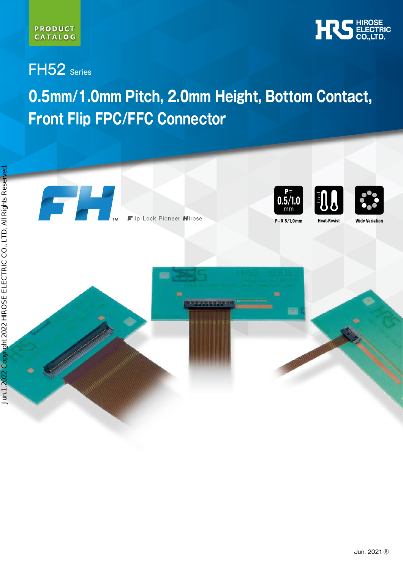

FH52 Series

# **0.5mm/1.0mm Pitch, 2.0mm Height, Bottom Contact, Front Flip FPC/FFC Connector**

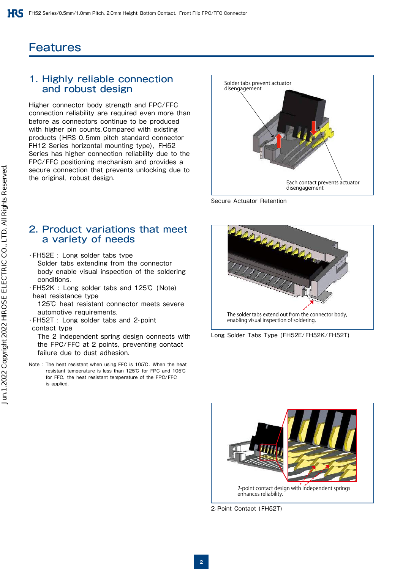## **Features**

### 1. Highly reliable connection and robust design

Higher connector body strength and FPC/FFC connection reliability are required even more than before as connectors continue to be produced with higher pin counts. Compared with existing products (HRS 0.5mm pitch standard connector FH12 Series horizontal mounting type), FH52 Series has higher connection reliability due to the FPC/FFC positioning mechanism and provides a secure connection that prevents unlocking due to



Secure Actuator Retention

### 2. Product variations that meet a variety of needs

- ・FH52E : Long solder tabs type
- Solder tabs extending from the connector body enable visual inspection of the soldering conditions.
- ・FH52K : Long solder tabs and 125℃ (Note) heat resistance type
- 125℃ heat resistant connector meets severe automotive requirements.
- ・FH52T : Long solder tabs and 2-point contact type

 The 2 independent spring design connects with the FPC/FFC at 2 points, preventing contact failure due to dust adhesion.

Note : The heat resistant when using FFC is 105℃. When the heat resistant temperature is less than 125℃ for FPC and 105℃ for FFC, the heat resistant temperature of the FPC/FFC is annlied.







2-Point Contact (FH52T)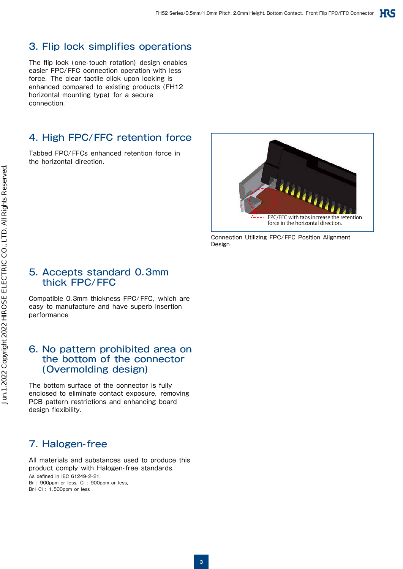### 3. Flip lock simplifies operations

The flip lock (one-touch rotation) design enables easier FPC/FFC connection operation with less force. The clear tactile click upon locking is enhanced compared to existing products (FH12 horizontal mounting type) for a secure connection.

### 4. High FPC/FFC retention force

Tabbed FPC/FFCs enhanced retention force in the horizontal direction.



Connection Utilizing FPC/FFC Position Alignment Design

### 5. Accepts standard 0.3mm thick FPC/FFC

Compatible 0.3mm thickness FPC/FFC, which are easy to manufacture and have superb insertion performance

### 6. No pattern prohibited area on the bottom of the connector (Overmolding design)

The bottom surface of the connector is fully enclosed to eliminate contact exposure, removing PCB pattern restrictions and enhancing board design flexibility.

### 7. Halogen-free

All materials and substances used to produce this product comply with Halogen-free standards. As defined in IEC 61249-2-21. Br : 900ppm or less, CI : 900ppm or less, Br+Cl : 1,500ppm or less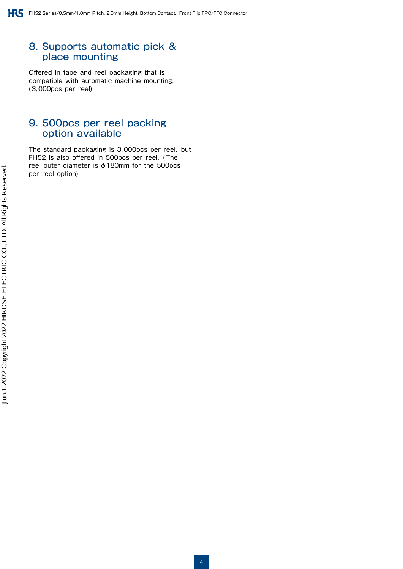### 8. Supports automatic pick & place mounting

Offered in tape and reel packaging that is compatible with automatic machine mounting. (3,000pcs per reel)

### 9. 500pcs per reel packing option available

The standard packaging is 3,000pcs per reel, but FH52 is also offered in 500pcs per reel. (The reel outer diameter is φ180mm for the 500pcs per reel option)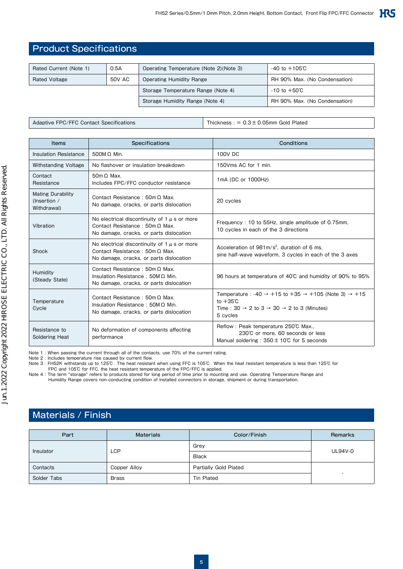### Product Specifications

| Rated Current (Note 1) | 0.5A   | Operating Temperature (Note 2) (Note 3) | $-40$ to $+105^\circ$ C       |
|------------------------|--------|-----------------------------------------|-------------------------------|
| Rated Voltage          | 50V AC | <b>Operating Humidity Range</b>         | RH 90% Max. (No Condensation) |
|                        |        | Storage Temperature Range (Note 4)      | $-10$ to $+50^{\circ}$ C      |
|                        |        | Storage Humidity Range (Note 4)         | RH 90% Max. (No Condensation) |

Adaptive FPC/FFC Contact Specifications Thickness : = 0.3 ± 0.05mm Gold Plated

| Items                                                   | <b>Specifications</b>                                                                                                                | Conditions                                                                                                                                                                                             |
|---------------------------------------------------------|--------------------------------------------------------------------------------------------------------------------------------------|--------------------------------------------------------------------------------------------------------------------------------------------------------------------------------------------------------|
| Insulation Resistance                                   | $500MQ$ Min.                                                                                                                         | 100V DC                                                                                                                                                                                                |
| <b>Withstanding Voltage</b>                             | No flashover or insulation breakdown                                                                                                 | 150Vms AC for 1 min.                                                                                                                                                                                   |
| Contact<br>Resistance                                   | $50m \Omega$ Max.<br>Includes FPC/FFC conductor resistance                                                                           | 1mA (DC or 1000Hz)                                                                                                                                                                                     |
| <b>Mating Durability</b><br>(Insertion /<br>Withdrawal) | Contact Resistance: $50m \Omega$ Max.<br>No damage, cracks, or parts dislocation                                                     | 20 cycles                                                                                                                                                                                              |
| Vibration                                               | No electrical discontinuity of 1 $\mu$ s or more<br>Contact Resistance: $50m \Omega$ Max.<br>No damage, cracks, or parts dislocation | Frequency: 10 to 55Hz, single amplitude of 0.75mm,<br>10 cycles in each of the 3 directions                                                                                                            |
| Shock                                                   | No electrical discontinuity of $1 \mu$ s or more<br>Contact Resistance: $50m \Omega$ Max.<br>No damage, cracks, or parts dislocation | Acceleration of $981 \text{m/s}^2$ , duration of 6 ms.<br>sine half-wave waveform, 3 cycles in each of the 3 axes                                                                                      |
| Humidity<br>(Steady State)                              | Contact Resistance: $50m \Omega$ Max.<br>Insulation Resistance: $50M \Omega$ Min.<br>No damage, cracks, or parts dislocation         | 96 hours at temperature of 40°C and humidity of 90% to 95%                                                                                                                                             |
| Temperature<br>Cycle                                    | Contact Resistance: $50m \Omega$ Max.<br>Insulation Resistance: $50M\Omega$ Min.<br>No damage, cracks, or parts dislocation          | Temperature: $-40 \rightarrow +15$ to $+35 \rightarrow +105$ (Note 3) $\rightarrow +15$<br>to $+35^\circ$ C<br>Time: $30 \rightarrow 2$ to $3 \rightarrow 30 \rightarrow 2$ to 3 (Minutes)<br>5 cycles |
| Resistance to<br><b>Soldering Heat</b>                  | No deformation of components affecting<br>performance                                                                                | Reflow: Peak temperature 250°C Max<br>230℃ or more. 60 seconds or less<br>Manual soldering: $350 \pm 10^{\circ}$ for 5 seconds                                                                         |

Note 1 : When passing the current through all of the contacts, use 70% of the current rating.

Note 2 : Includes temperature rise caused by current flow.

Note 3 : FH52K withstands up to 125℃ . The heat resistant when using FFC is 105℃ . When the heat resistant temperature is less than 125℃ for

FPC and 105°C for FFC, the heat resistant temperature of the FPC/FFC is applied.<br>Note 4 : The term "storage" refers to products stored for long period of time prior to mounting and use. Operating Temperature Range and<br>Humi

### Materials / Finish

| Part        | <b>Materials</b> | Color/Finish          | Remarks                  |  |
|-------------|------------------|-----------------------|--------------------------|--|
|             | <b>LCP</b>       | Grey                  | <b>UL94V-0</b>           |  |
| Insulator   |                  | <b>Black</b>          |                          |  |
| Contacts    | Copper Alloy     | Partially Gold Plated |                          |  |
| Solder Tabs | Brass            | Tin Plated            | $\overline{\phantom{a}}$ |  |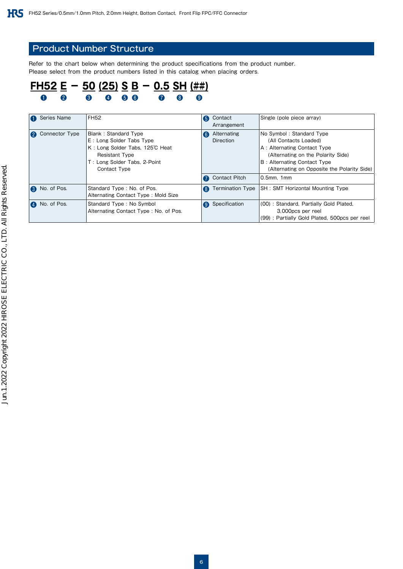### Product Number Structure

Refer to the chart below when determining the product specifications from the product number. Please select from the product numbers listed in this catalog when placing orders.

### **FH52 E - 50 (25) S B - 0.5 SH (##)** ❶ ❷ ❸ ❹ ❺ ❻ ❼ ❽ ❾

| Series Name                        | <b>FH52</b>                           | Contact<br>6              | Single (pole piece array)                            |
|------------------------------------|---------------------------------------|---------------------------|------------------------------------------------------|
|                                    |                                       | Arrangement               |                                                      |
| Connector Type<br>$\boldsymbol{Q}$ | Blank: Standard Type                  | Alternating<br>6          | No Symbol: Standard Type                             |
|                                    | E: Long Solder Tabs Type              | <b>Direction</b>          | (All Contacts Loaded)                                |
|                                    | K: Long Solder Tabs, 125°C Heat       |                           | A: Alternating Contact Type                          |
|                                    | <b>Resistant Type</b>                 |                           | (Alternating on the Polarity Side)                   |
|                                    | T: Long Solder Tabs, 2-Point          |                           | B: Alternating Contact Type                          |
|                                    | Contact Type                          |                           | (Alternating on Opposite the Polarity Side)          |
|                                    |                                       | <b>Contact Pitch</b>      | 0.5mm, 1mm                                           |
| No. of Pos.                        | Standard Type: No. of Pos.            | 8                         | Termination Type   SH : SMT Horizontal Mounting Type |
|                                    | Alternating Contact Type: Mold Size   |                           |                                                      |
| No. of Pos.<br>$\bullet$           | Standard Type: No Symbol              | Specification<br><b>Q</b> | (00): Standard, Partially Gold Plated,               |
|                                    | Alternating Contact Type: No. of Pos. |                           | 3,000pcs per reel                                    |
|                                    |                                       |                           | (99): Partially Gold Plated, 500pcs per reel         |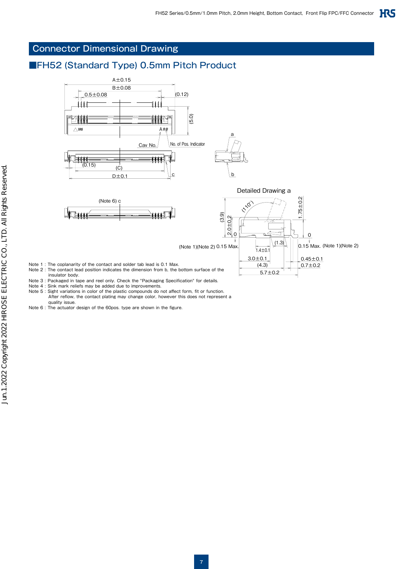### Connector Dimensional Drawing

### ■FH52 (Standard Type) 0.5mm Pitch Product



- Note 4 : Sink mark reliefs may be added due to improvements.
- Note 5 : Sight variations in color of the plastic compounds do not affect form, fit or function. After reflow, the contact plating may change color, however this does not represent a
- quality issue. Note 6 : The actuator design of the 60pos. type are shown in the figure.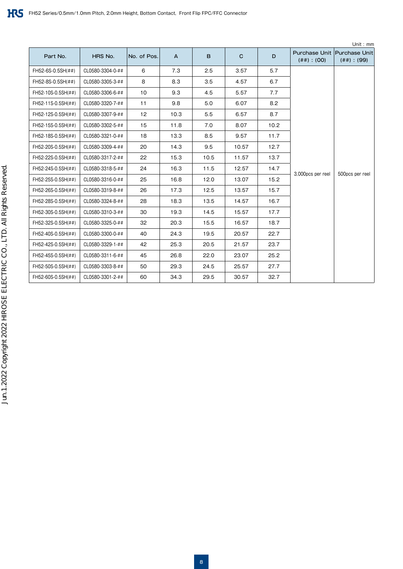|                    |                  |             |      |      |             |      |                                                 | Unit: mm         |
|--------------------|------------------|-------------|------|------|-------------|------|-------------------------------------------------|------------------|
| Part No.           | HRS No.          | No. of Pos. | A    | B    | $\mathbf C$ | D    | Purchase Unit Purchase Unit<br>$(\# \#) : (OO)$ | $(\# \#)$ : (99) |
| FH52-6S-0.5SH(##)  | CL0580-3304-0-## | 6           | 7.3  | 2.5  | 3.57        | 5.7  |                                                 |                  |
| FH52-8S-0.5SH(##)  | CL0580-3305-3-## | 8           | 8.3  | 3.5  | 4.57        | 6.7  |                                                 |                  |
| FH52-10S-0.5SH(##) | CL0580-3306-6-## | 10          | 9.3  | 4.5  | 5.57        | 7.7  |                                                 |                  |
| FH52-11S-0.5SH(##) | CL0580-3320-7-## | 11          | 9.8  | 5.0  | 6.07        | 8.2  |                                                 |                  |
| FH52-12S-0.5SH(##) | CL0580-3307-9-## | 12          | 10.3 | 5.5  | 6.57        | 8.7  |                                                 |                  |
| FH52-15S-0.5SH(##) | CL0580-3302-5-## | 15          | 11.8 | 7.0  | 8.07        | 10.2 |                                                 |                  |
| FH52-18S-0.5SH(##) | CL0580-3321-0-## | 18          | 13.3 | 8.5  | 9.57        | 11.7 |                                                 | 500pcs per reel  |
| FH52-20S-0.5SH(##) | CL0580-3309-4-## | 20          | 14.3 | 9.5  | 10.57       | 12.7 |                                                 |                  |
| FH52-22S-0.5SH(##) | CL0580-3317-2-## | 22          | 15.3 | 10.5 | 11.57       | 13.7 |                                                 |                  |
| FH52-24S-0.5SH(##) | CL0580-3318-5-## | 24          | 16.3 | 11.5 | 12.57       | 14.7 |                                                 |                  |
| FH52-25S-0.5SH(##) | CL0580-3316-0-## | 25          | 16.8 | 12.0 | 13.07       | 15.2 | 3,000pcs per reel                               |                  |
| FH52-26S-0.5SH(##) | CL0580-3319-8-## | 26          | 17.3 | 12.5 | 13.57       | 15.7 |                                                 |                  |
| FH52-28S-0.5SH(##) | CL0580-3324-8-## | 28          | 18.3 | 13.5 | 14.57       | 16.7 |                                                 |                  |
| FH52-30S-0.5SH(##) | CL0580-3310-3-## | 30          | 19.3 | 14.5 | 15.57       | 17.7 |                                                 |                  |
| FH52-32S-0.5SH(##) | CL0580-3325-0-## | 32          | 20.3 | 15.5 | 16.57       | 18.7 |                                                 |                  |
| FH52-40S-0.5SH(##) | CL0580-3300-0-## | 40          | 24.3 | 19.5 | 20.57       | 22.7 |                                                 |                  |
| FH52-42S-0.5SH(##) | CL0580-3329-1-## | 42          | 25.3 | 20.5 | 21.57       | 23.7 |                                                 |                  |
| FH52-45S-0.5SH(##) | CL0580-3311-6-## | 45          | 26.8 | 22.0 | 23.07       | 25.2 |                                                 |                  |
| FH52-50S-0.5SH(##) | CL0580-3303-8-## | 50          | 29.3 | 24.5 | 25.57       | 27.7 |                                                 |                  |
| FH52-60S-0.5SH(##) | CL0580-3301-2-## | 60          | 34.3 | 29.5 | 30.57       | 32.7 |                                                 |                  |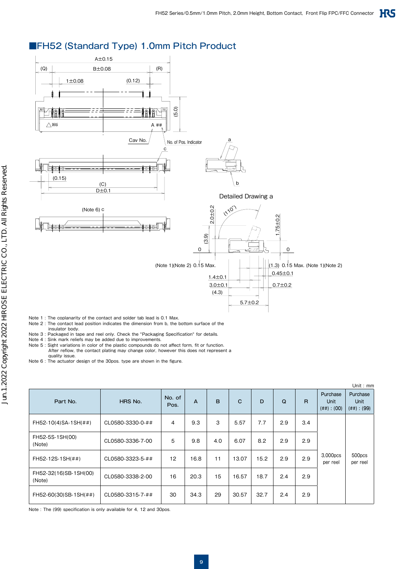### ■FH52 (Standard Type) 1.0mm Pitch Product



- Note 1 : The coplanarity of the contact and solder tab lead is 0.1 Max.
- Note 2 : The contact lead position indicates the dimension from b, the bottom surface of the insulator body.
- Note 3 : Packaged in tape and reel only. Check the "Packaging Specification" for details.<br>Note 4 : Sink mark reliefs may be added due to improvements.<br>Note 5 : Sight variations in color of the plastic compounds do not affe
- 
- After reflow, the contact plating may change color, however this does not represent a quality issue.
- Note 6 : The actuator design of the 30pos. type are shown in the figure.

|                                 |                  |                |      |     |              |      |     |     |                                             | Unit: mm                             |
|---------------------------------|------------------|----------------|------|-----|--------------|------|-----|-----|---------------------------------------------|--------------------------------------|
| Part No.                        | HRS No.          | No. of<br>Pos. | A    | B   | $\mathbf{C}$ | D    | Q   | R.  | Purchase<br><b>Unit</b><br>$(\# \#) : (00)$ | Purchase<br>Unit<br>$(\# \#) : (99)$ |
| FH52-10(4)SA-1SH(##)            | CL0580-3330-0-## | $\overline{4}$ | 9.3  | 3   | 5.57         | 7.7  | 2.9 | 3.4 |                                             |                                      |
| FH52-5S-1SH(00)<br>(Note)       | CL0580-3336-7-00 | 5              | 9.8  | 4.0 | 6.07         | 8.2  | 2.9 | 2.9 |                                             |                                      |
| FH52-12S-1SH(##)                | CL0580-3323-5-## | 12             | 16.8 | 11  | 13.07        | 15.2 | 2.9 | 2.9 | 3,000pcs<br>per reel                        | 500pcs<br>per reel                   |
| FH52-32(16)SB-1SH(00)<br>(Note) | CL0580-3338-2-00 | 16             | 20.3 | 15  | 16.57        | 18.7 | 2.4 | 2.9 |                                             |                                      |
| FH52-60(30)SB-1SH(##)           | CL0580-3315-7-## | 30             | 34.3 | 29  | 30.57        | 32.7 | 2.4 | 2.9 |                                             |                                      |

Note : The (99) specification is only available for 4, 12 and 30pos.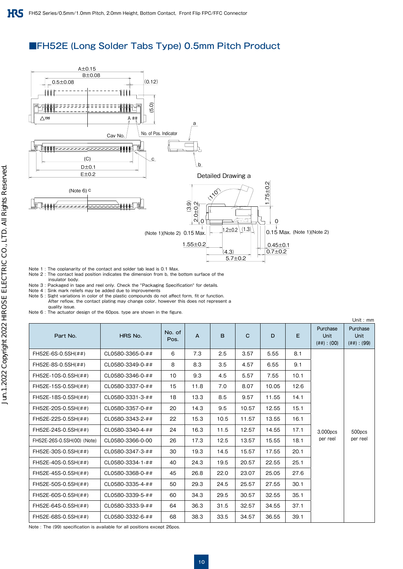### ■FH52E (Long Solder Tabs Type) 0.5mm Pitch Product



Note 1 : The coplanarity of the contact and solder tab lead is 0.1 Max.

Note 2 : The contact lead position indicates the dimension from b, the bottom surface of the insulator body.

Note 3 : Packaged in tape and reel only. Check the "Packaging Specification" for details. Note 4 : Sink mark reliefs may be added due to improvements

Note 5 : Sight variations in color of the plastic compounds do not affect form, fit or function. After reflow, the contact plating may change color, however this does not represent a quality issue.

Note 6 : The actuator design of the 60pos. type are shown in the figure.

|                            |                  |                |                |      |             |       |      |                                             | Unit: $mm$                           |
|----------------------------|------------------|----------------|----------------|------|-------------|-------|------|---------------------------------------------|--------------------------------------|
| Part No.                   | HRS No.          | No. of<br>Pos. | $\overline{A}$ | B.   | $\mathbf C$ | D     | E.   | Purchase<br><b>Unit</b><br>$(\# \#) : (00)$ | Purchase<br>Unit<br>$(\# \#)$ : (99) |
| FH52E-6S-0.5SH(##)         | CL0580-3365-0-## | 6              | 7.3            | 2.5  | 3.57        | 5.55  | 8.1  |                                             |                                      |
| FH52E-8S-0.5SH(##)         | CL0580-3349-0-## | 8              | 8.3            | 3.5  | 4.57        | 6.55  | 9.1  |                                             |                                      |
| FH52E-10S-0.5SH(##)        | CL0580-3346-0-## | 10             | 9.3            | 4.5  | 5.57        | 7.55  | 10.1 |                                             |                                      |
| FH52E-15S-0.5SH(##)        | CL0580-3337-0-## | 15             | 11.8           | 7.0  | 8.07        | 10.05 | 12.6 |                                             |                                      |
| FH52E-18S-0.5SH(##)        | CL0580-3331-3-## | 18             | 13.3           | 8.5  | 9.57        | 11.55 | 14.1 |                                             |                                      |
| FH52E-20S-0.5SH(##)        | CL0580-3357-0-## | 20             | 14.3           | 9.5  | 10.57       | 12.55 | 15.1 |                                             |                                      |
| FH52E-22S-0.5SH(##)        | CL0580-3343-2-## | 22             | 15.3           | 10.5 | 11.57       | 13.55 | 16.1 |                                             | 500pcs                               |
| FH52E-24S-0.5SH(##)        | CL0580-3340-4-## | 24             | 16.3           | 11.5 | 12.57       | 14.55 | 17.1 | 3,000pcs                                    |                                      |
| FH52E-26S-0.5SH(00) (Note) | CL0580-3366-0-00 | 26             | 17.3           | 12.5 | 13.57       | 15.55 | 18.1 | per reel                                    | per reel                             |
| FH52E-30S-0.5SH(##)        | CL0580-3347-3-## | 30             | 19.3           | 14.5 | 15.57       | 17.55 | 20.1 |                                             |                                      |
| FH52E-40S-0.5SH(##)        | CL0580-3334-1-## | 40             | 24.3           | 19.5 | 20.57       | 22.55 | 25.1 |                                             |                                      |
| FH52E-45S-0.5SH(##)        | CL0580-3368-0-## | 45             | 26.8           | 22.0 | 23.07       | 25.05 | 27.6 |                                             |                                      |
| FH52E-50S-0.5SH(##)        | CL0580-3335-4-## | 50             | 29.3           | 24.5 | 25.57       | 27.55 | 30.1 |                                             |                                      |
| FH52E-60S-0.5SH(##)        | CL0580-3339-5-## | 60             | 34.3           | 29.5 | 30.57       | 32.55 | 35.1 |                                             |                                      |
| FH52E-64S-0.5SH(##)        | CL0580-3333-9-## | 64             | 36.3           | 31.5 | 32.57       | 34.55 | 37.1 |                                             |                                      |
| FH52E-68S-0.5SH(##)        | CL0580-3332-6-## | 68             | 38.3           | 33.5 | 34.57       | 36.55 | 39.1 |                                             |                                      |

Note : The (99) specification is available for all positions except 26pos.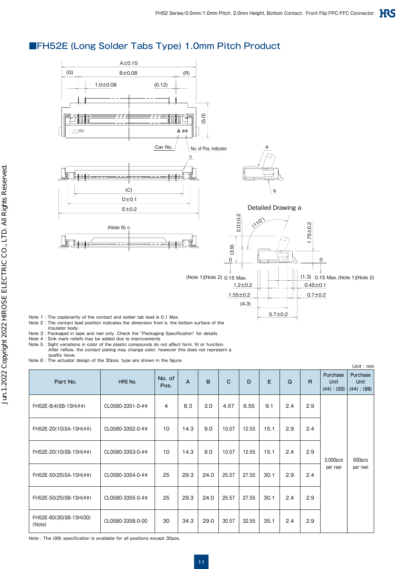### ■FH52E (Long Solder Tabs Type) 1.0mm Pitch Product



Note 1 : The coplanarity of the contact and solder tab lead is 0.1 Max.

- Note 2 : The contact lead position indicates the dimension from b, the bottom surface of the insulator body.
- Note 3 : Packaged in tape and reel only. Check the "Packaging Specification" for details.
- Note 4 : Sink mark reliefs may be added due to improvements
- Note 5 : Sight variations in color of the plastic compounds do not affect form, fit or function. After reflow, the contact plating may change color, however this does not represent a quality issue.

Note 6 : The actuator design of the 30pos. type are shown in the figure.

| moto o . Tho actuator accisi or the oopos. type are shown in the histre.<br>Unit: mm |                  |                |                |      |             |       |      |     |     |                                      |                                      |
|--------------------------------------------------------------------------------------|------------------|----------------|----------------|------|-------------|-------|------|-----|-----|--------------------------------------|--------------------------------------|
| Part No.                                                                             | HRS No.          | No. of<br>Pos. | $\overline{A}$ | B.   | $\mathbf C$ | D     | E    | Q   | R.  | Purchase<br>Unit<br>$(\# \#) : (00)$ | Purchase<br>Unit<br>$(\# \#) : (99)$ |
| FH52E-8(4)SB-1SH(##)                                                                 | CL0580-3351-0-## | $\overline{4}$ | 8.3            | 3.0  | 4.57        | 6.55  | 9.1  | 2.4 | 2.9 |                                      |                                      |
| FH52E-20(10)SA-1SH(##)                                                               | CL0580-3352-0-## | 10             | 14.3           | 9.0  | 10.57       | 12.55 | 15.1 | 2.9 | 2.4 |                                      |                                      |
| FH52E-20(10)SB-1SH(##)                                                               | CL0580-3353-0-## | 10             | 14.3           | 9.0  | 10.57       | 12.55 | 15.1 | 2.4 | 2.9 | 3,000pcs                             | 500pcs                               |
| FH52E-50(25)SA-1SH(##)                                                               | CL0580-3354-0-## | 25             | 29.3           | 24.0 | 25.57       | 27.55 | 30.1 | 2.9 | 2.4 | per reel                             | per reel                             |
| FH52E-50(25)SB-1SH(##)                                                               | CL0580-3355-0-## | 25             | 29.3           | 24.0 | 25.57       | 27.55 | 30.1 | 2.4 | 2.9 |                                      |                                      |
| FH52E-60(30)SB-1SH(00)<br>(Note)                                                     | CL0580-3358-0-00 | 30             | 34.3           | 29.0 | 30.57       | 32.55 | 35.1 | 2.4 | 2.9 |                                      |                                      |

Note : The (99) specification is available for all positions except 30pos.

Jun.1.2022 Copyright 2022 HIROSE ELECTRIC CO., LTD. All Rights Reserved.

Jun.1.2022 Copyright 2022 HIROSE ELECTRIC CO., LTD. All Rights Reserved.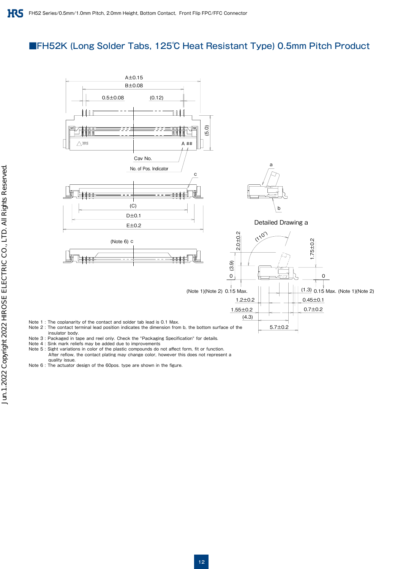### ■FH52K (Long Solder Tabs, 125℃ Heat Resistant Type) 0.5mm Pitch Product



- Note 3 : Packaged in tape and reel only. Check the "Packaging Specification" for details. Note 4 : Sink mark reliefs may be added due to improvements
- 
- Note 5 : Sight variations in color of the plastic compounds do not affect form, fit or function. After reflow, the contact plating may change color, however this does not represent a
- quality issue.
- Note 6 : The actuator design of the 60pos. type are shown in the figure.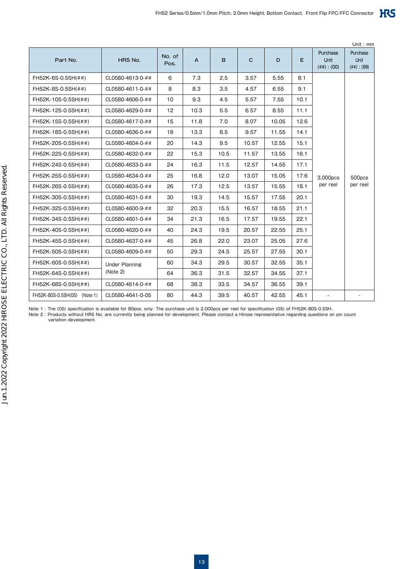|                              |                       |                |      |      |             |       |      |                                      | Unit: $mm$                           |
|------------------------------|-----------------------|----------------|------|------|-------------|-------|------|--------------------------------------|--------------------------------------|
| Part No.                     | HRS No.               | No. of<br>Pos. | A    | B    | $\mathbf C$ | D     | E.   | Purchase<br>Unit<br>$(\# \#) : (00)$ | Purchase<br>Unit<br>$(\# \#) : (99)$ |
| FH52K-6S-0.5SH(##)           | CL0580-4613-0-##      | 6              | 7.3  | 2.5  | 3.57        | 5.55  | 8.1  |                                      |                                      |
| FH52K-8S-0.5SH(##)           | CL0580-4611-0-##      | 8              | 8.3  | 3.5  | 4.57        | 6.55  | 9.1  |                                      |                                      |
| FH52K-10S-0.5SH(##)          | CL0580-4606-0-##      | 10             | 9.3  | 4.5  | 5.57        | 7.55  | 10.1 |                                      |                                      |
| FH52K-12S-0.5SH(##)          | CL0580-4629-0-##      | 12             | 10.3 | 5.5  | 6.57        | 8.55  | 11.1 |                                      |                                      |
| FH52K-15S-0.5SH(##)          | CL0580-4617-0-##      | 15             | 11.8 | 7.0  | 8.07        | 10.05 | 12.6 |                                      |                                      |
| FH52K-18S-0.5SH(##)          | CL0580-4636-0-##      | 18             | 13.3 | 8.5  | 9.57        | 11.55 | 14.1 |                                      |                                      |
| FH52K-20S-0.5SH(##)          | CL0580-4604-0-##      | 20             | 14.3 | 9.5  | 10.57       | 12.55 | 15.1 |                                      |                                      |
| FH52K-22S-0.5SH(##)          | CL0580-4632-0-##      | 22             | 15.3 | 10.5 | 11.57       | 13.55 | 16.1 |                                      |                                      |
| FH52K-24S-0.5SH(##)          | CL0580-4633-0-##      | 24             | 16.3 | 11.5 | 12.57       | 14.55 | 17.1 |                                      |                                      |
| FH52K-25S-0.5SH(##)          | CL0580-4634-0-##      | 25             | 16.8 | 12.0 | 13.07       | 15.05 | 17.6 | 3.000pcs                             | 500pcs                               |
| FH52K-26S-0.5SH(##)          | CL0580-4635-0-##      | 26             | 17.3 | 12.5 | 13.57       | 15.55 | 18.1 | per reel                             | per reel                             |
| FH52K-30S-0.5SH(##)          | CL0580-4631-0-##      | 30             | 19.3 | 14.5 | 15.57       | 17.55 | 20.1 |                                      |                                      |
| FH52K-32S-0.5SH(##)          | CL0580-4600-9-##      | 32             | 20.3 | 15.5 | 16.57       | 18.55 | 21.1 |                                      |                                      |
| FH52K-34S-0.5SH(##)          | CL0580-4601-0-##      | 34             | 21.3 | 16.5 | 17.57       | 19.55 | 22.1 |                                      |                                      |
| FH52K-40S-0.5SH(##)          | CL0580-4620-0-##      | 40             | 24.3 | 19.5 | 20.57       | 22.55 | 25.1 |                                      |                                      |
| FH52K-45S-0.5SH(##)          | CL0580-4637-0-##      | 45             | 26.8 | 22.0 | 23.07       | 25.05 | 27.6 |                                      |                                      |
| FH52K-50S-0.5SH(##)          | CL0580-4609-0-##      | 50             | 29.3 | 24.5 | 25.57       | 27.55 | 30.1 |                                      |                                      |
| FH52K-60S-0.5SH(##)          | <b>Under Planning</b> | 60             | 34.3 | 29.5 | 30.57       | 32.55 | 35.1 |                                      |                                      |
| FH52K-64S-0.5SH(##)          | (Note 2)              | 64             | 36.3 | 31.5 | 32.57       | 34.55 | 37.1 |                                      |                                      |
| FH52K-68S-0.5SH(##)          | CL0580-4614-0-##      | 68             | 38.3 | 33.5 | 34.57       | 36.55 | 39.1 |                                      |                                      |
| FH52K-80S-0.5SH(05) (Note 1) | CL0580-4641-0-05      | 80             | 44.3 | 39.5 | 40.57       | 42.55 | 45.1 |                                      |                                      |

Note 1 : The (05) specification is available for 80pos. only. The purchase unit is 2,000pcs per reel for specification (05) of FH52K-80S-0.5SH.

Note 2 : Products without HRS No. are currently being planned for development. Please contact a Hirose representative regarding questions on pin count variation development.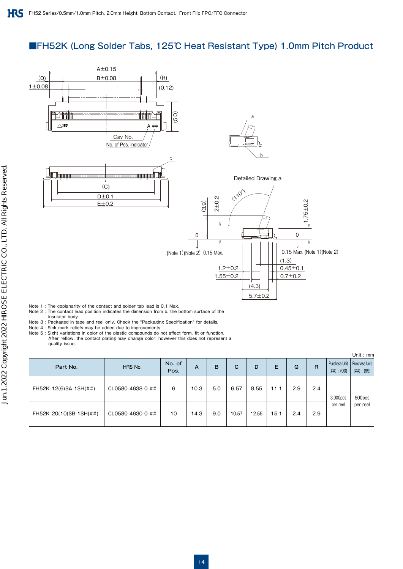### ■FH52K (Long Solder Tabs, 125℃ Heat Resistant Type) 1.0mm Pitch Product



Note 1 : The coplanarity of the contact and solder tab lead is 0.1 Max.

- Note 2 : The contact lead position indicates the dimension from b, the bottom surface of the insulator body.
- Note 3 : Packaged in tape and reel only. Check the "Packaging Specification" for details.
- Note 4 : Sink mark reliefs may be added due to improvements

Note 5 : Sight variations in color of the plastic compounds do not affect form, fit or function. After reflow, the contact plating may change color, however this does not represent a quality issue.

|                        |                  |                |      |     |       |       |      |     |              |                                   | Unit: $mm$                       |
|------------------------|------------------|----------------|------|-----|-------|-------|------|-----|--------------|-----------------------------------|----------------------------------|
| Part No.               | HRS No.          | No. of<br>Pos. | А    | B   | С     | D     | Е    | Q   | $\mathsf{R}$ | Purchase Unit<br>$(\# \#) : (00)$ | Purchase Unit<br>$(\# \#): (99)$ |
| FH52K-12(6)SA-1SH(##)  | CL0580-4638-0-## | 6              | 10.3 | 5.0 | 6.57  | 8.55  | 11.1 | 2.9 | 2.4          | 3,000pcs                          | 500pcs                           |
| FH52K-20(10)SB-1SH(##) | CL0580-4630-0-## | 10             | 14.3 | 9.0 | 10.57 | 12.55 | 15.1 | 2.4 | 2.9          | per reel                          | per reel                         |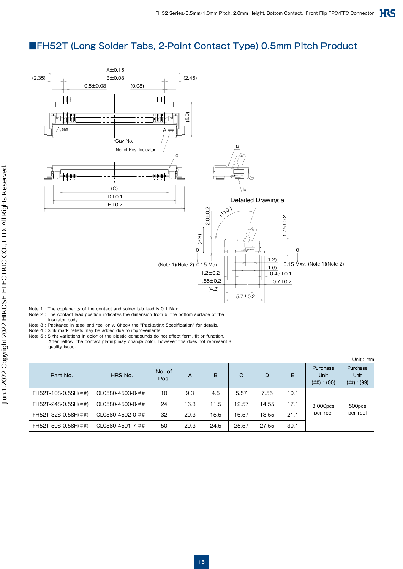### ■FH52T (Long Solder Tabs, 2-Point Contact Type) 0.5mm Pitch Product



Note 1 : The coplanarity of the contact and solder tab lead is 0.1 Max.

- Note 2 : The contact lead position indicates the dimension from b, the bottom surface of the
- insulator body. Note 3 : Packaged in tape and reel only. Check the "Packaging Specification" for details.
- Note 4 : Sink mark reliefs may be added due to improvements

Note 5 : Sight variations in color of the plastic compounds do not affect form, fit or function.

 After reflow, the contact plating may change color, however this does not represent a quality issue.

| Part No.            | HRS No.          | No. of<br>Pos. | A    | B    | C     | D     | Е    | Purchase<br>Unit<br>$(\# \#) : (OO)$ | Unit: $mm$<br>Purchase<br><b>Unit</b><br>$(\# \#) : (99)$ |
|---------------------|------------------|----------------|------|------|-------|-------|------|--------------------------------------|-----------------------------------------------------------|
| FH52T-10S-0.5SH(##) | CL0580-4503-0-## | 10             | 9.3  | 4.5  | 5.57  | 7.55  | 10.1 |                                      |                                                           |
| FH52T-24S-0.5SH(##) | CL0580-4500-0-## | 24             | 16.3 | 11.5 | 12.57 | 14.55 | 17.1 | 3,000pcs                             | 500pcs                                                    |
| FH52T-32S-0.5SH(##) | CL0580-4502-0-## | 32             | 20.3 | 15.5 | 16.57 | 18.55 | 21.1 | per reel                             | per reel                                                  |
| FH52T-50S-0.5SH(##) | CL0580-4501-7-## | 50             | 29.3 | 24.5 | 25.57 | 27.55 | 30.1 |                                      |                                                           |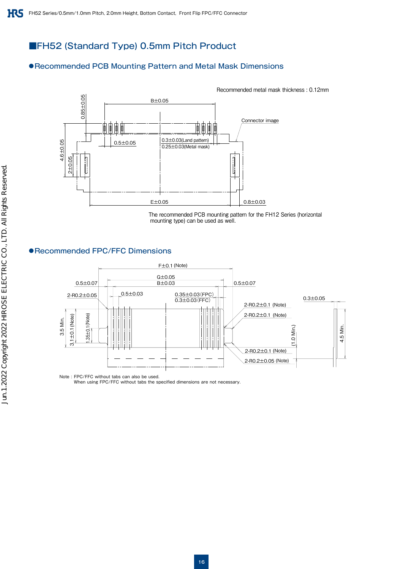### ■FH52 (Standard Type) 0.5mm Pitch Product

#### ●Recommended PCB Mounting Pattern and Metal Mask Dimensions



 The recommended PCB mounting pattern for the FH12 Series (horizontal mounting type) can be used as well.

#### ●Recommended FPC/FFC Dimensions



Note : FPC/FFC without tabs can also be used.

When using FPC/FFC without tabs the specified dimensions are not necessary.

Recommended metal mask thickness : 0.12mm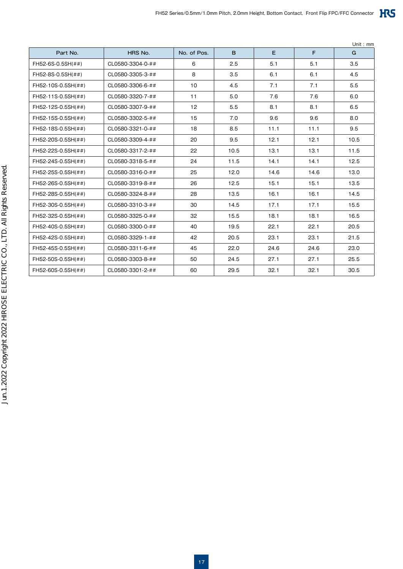| Part No.           | HRS No.          | No. of Pos. | B    | E    | F    | G    |
|--------------------|------------------|-------------|------|------|------|------|
| FH52-6S-0.5SH(##)  | CL0580-3304-0-## | 6           | 2.5  | 5.1  | 5.1  | 3.5  |
| FH52-8S-0.5SH(##)  | CL0580-3305-3-## | 8           | 3.5  | 6.1  | 6.1  | 4.5  |
| FH52-10S-0.5SH(##) | CL0580-3306-6-## | 10          | 4.5  | 7.1  | 7.1  | 5.5  |
| FH52-11S-0.5SH(##) | CL0580-3320-7-## | 11          | 5.0  | 7.6  | 7.6  | 6.0  |
| FH52-12S-0.5SH(##) | CL0580-3307-9-## | 12          | 5.5  | 8.1  | 8.1  | 6.5  |
| FH52-15S-0.5SH(##) | CL0580-3302-5-## | 15          | 7.0  | 9.6  | 9.6  | 8.0  |
| FH52-18S-0.5SH(##) | CL0580-3321-0-## | 18          | 8.5  | 11.1 | 11.1 | 9.5  |
| FH52-20S-0.5SH(##) | CL0580-3309-4-## | 20          | 9.5  | 12.1 | 12.1 | 10.5 |
| FH52-22S-0.5SH(##) | CL0580-3317-2-## | 22          | 10.5 | 13.1 | 13.1 | 11.5 |
| FH52-24S-0.5SH(##) | CL0580-3318-5-## | 24          | 11.5 | 14.1 | 14.1 | 12.5 |
| FH52-25S-0.5SH(##) | CL0580-3316-0-## | 25          | 12.0 | 14.6 | 14.6 | 13.0 |
| FH52-26S-0.5SH(##) | CL0580-3319-8-## | 26          | 12.5 | 15.1 | 15.1 | 13.5 |
| FH52-28S-0.5SH(##) | CL0580-3324-8-## | 28          | 13.5 | 16.1 | 16.1 | 14.5 |
| FH52-30S-0.5SH(##) | CL0580-3310-3-## | 30          | 14.5 | 17.1 | 17.1 | 15.5 |
| FH52-32S-0.5SH(##) | CL0580-3325-0-## | 32          | 15.5 | 18.1 | 18.1 | 16.5 |
| FH52-40S-0.5SH(##) | CL0580-3300-0-## | 40          | 19.5 | 22.1 | 22.1 | 20.5 |
| FH52-42S-0.5SH(##) | CL0580-3329-1-## | 42          | 20.5 | 23.1 | 23.1 | 21.5 |
| FH52-45S-0.5SH(##) | CL0580-3311-6-## | 45          | 22.0 | 24.6 | 24.6 | 23.0 |
| FH52-50S-0.5SH(##) | CL0580-3303-8-## | 50          | 24.5 | 27.1 | 27.1 | 25.5 |
| FH52-60S-0.5SH(##) | CL0580-3301-2-## | 60          | 29.5 | 32.1 | 32.1 | 30.5 |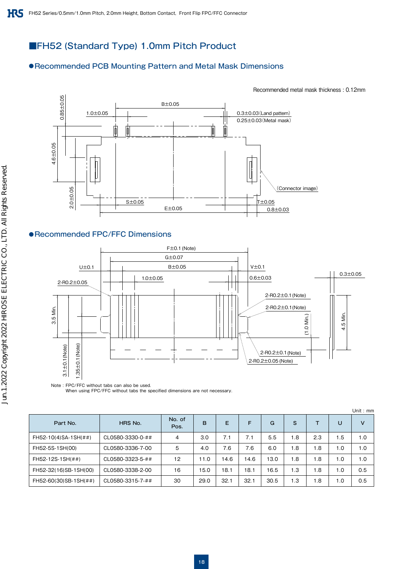### ■FH52 (Standard Type) 1.0mm Pitch Product

#### ●Recommended PCB Mounting Pattern and Metal Mask Dimensions

Recommended metal mask thickness : 0.12mm



#### ●Recommended FPC/FFC Dimensions



When using FPC/FFC without tabs the specified dimensions are not necessary.

|                       |                  |                |      |      |      |      |     |     |     | Unit: mm |
|-----------------------|------------------|----------------|------|------|------|------|-----|-----|-----|----------|
| Part No.              | HRS No.          | No. of<br>Pos. | B    | E    | F    | G    | S   |     | U   | v        |
| FH52-10(4)SA-1SH(##)  | CL0580-3330-0-## | 4              | 3.0  | 7.1  | 7.1  | 5.5  | 1.8 | 2.3 | 1.5 | 1.0      |
| FH52-5S-1SH(00)       | CL0580-3336-7-00 | 5              | 4.0  | 7.6  | 7.6  | 6.0  | 1.8 | 1.8 | 1.0 | 1.0      |
| FH52-12S-1SH(##)      | CL0580-3323-5-## | 12             | 11.0 | 14.6 | 14.6 | 13.0 | 1.8 | 1.8 | 1.0 | 1.0      |
| FH52-32(16)SB-1SH(00) | CL0580-3338-2-00 | 16             | 15.0 | 18.1 | 18.1 | 16.5 | 1.3 | 1.8 | 1.0 | 0.5      |
| FH52-60(30)SB-1SH(##) | CL0580-3315-7-## | 30             | 29.0 | 32.1 | 32.1 | 30.5 | 1.3 | 1.8 | 1.0 | 0.5      |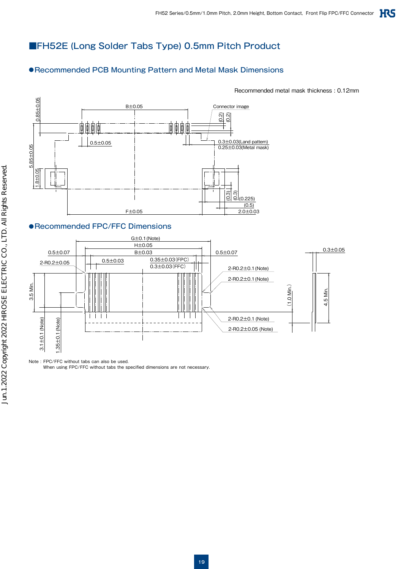### ■FH52E (Long Solder Tabs Type) 0.5mm Pitch Product

### ●Recommended PCB Mounting Pattern and Metal Mask Dimensions

Recommended metal mask thickness : 0.12mm



#### ●Recommended FPC/FFC Dimensions



Note : FPC/FFC without tabs can also be used.

When using FPC/FFC without tabs the specified dimensions are not necessary.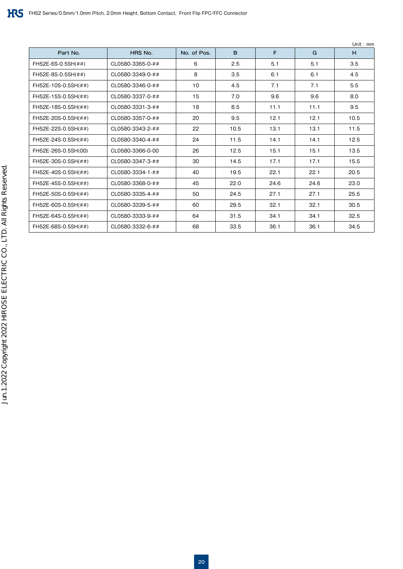|                     |                  |             |      |      |      | Unit: $mm$ |
|---------------------|------------------|-------------|------|------|------|------------|
| Part No.            | HRS No.          | No. of Pos. | B    | F    | G    | H          |
| FH52E-6S-0.5SH(##)  | CL0580-3365-0-## | 6           | 2.5  | 5.1  | 5.1  | 3.5        |
| FH52E-8S-0.5SH(##)  | CL0580-3349-0-## | 8           | 3.5  | 6.1  | 6.1  | 4.5        |
| FH52E-10S-0.5SH(##) | CL0580-3346-0-## | 10          | 4.5  | 7.1  | 7.1  | 5.5        |
| FH52E-15S-0.5SH(##) | CL0580-3337-0-## | 15          | 7.0  | 9.6  | 9.6  | 8.0        |
| FH52E-18S-0.5SH(##) | CL0580-3331-3-## | 18          | 8.5  | 11.1 | 11.1 | 9.5        |
| FH52E-20S-0.5SH(##) | CL0580-3357-0-## | 20          | 9.5  | 12.1 | 12.1 | 10.5       |
| FH52E-22S-0.5SH(##) | CL0580-3343-2-## | 22          | 10.5 | 13.1 | 13.1 | 11.5       |
| FH52E-24S-0.5SH(##) | CL0580-3340-4-## | 24          | 11.5 | 14.1 | 14.1 | 12.5       |
| FH52E-26S-0.5SH(00) | CL0580-3366-0-00 | 26          | 12.5 | 15.1 | 15.1 | 13.5       |
| FH52E-30S-0.5SH(##) | CL0580-3347-3-## | 30          | 14.5 | 17.1 | 17.1 | 15.5       |
| FH52E-40S-0.5SH(##) | CL0580-3334-1-## | 40          | 19.5 | 22.1 | 22.1 | 20.5       |
| FH52E-45S-0.5SH(##) | CL0580-3368-0-## | 45          | 22.0 | 24.6 | 24.6 | 23.0       |
| FH52E-50S-0.5SH(##) | CL0580-3335-4-## | 50          | 24.5 | 27.1 | 27.1 | 25.5       |
| FH52E-60S-0.5SH(##) | CL0580-3339-5-## | 60          | 29.5 | 32.1 | 32.1 | 30.5       |
| FH52E-64S-0.5SH(##) | CL0580-3333-9-## | 64          | 31.5 | 34.1 | 34.1 | 32.5       |
| FH52E-68S-0.5SH(##) | CL0580-3332-6-## | 68          | 33.5 | 36.1 | 36.1 | 34.5       |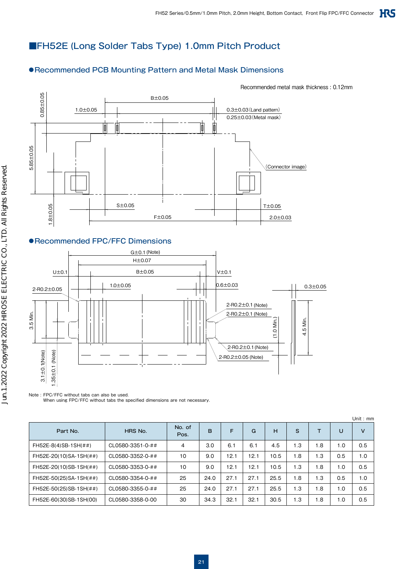### ■FH52E (Long Solder Tabs Type) 1.0mm Pitch Product

### ●Recommended PCB Mounting Pattern and Metal Mask Dimensions

Recommended metal mask thickness : 0.12mm



#### ●Recommended FPC/FFC Dimensions



Note : FPC/FFC without tabs can also be used. When using FPC/FFC without tabs the specified dimensions are not necessary.

|                           |                  |                |      |      |      |      |            |     |     | Unit: $mm$ |
|---------------------------|------------------|----------------|------|------|------|------|------------|-----|-----|------------|
| Part No.                  | HRS No.          | No. of<br>Pos. | B    | F    | G    | н    | S          |     | U   | v          |
| $FH52E-8(4)SB-1SH(\# \#)$ | CL0580-3351-0-## | $\overline{4}$ | 3.0  | 6.1  | 6.1  | 4.5  | i .3       | 1.8 | 1.0 | 0.5        |
| FH52E-20(10)SA-1SH(##)    | CL0580-3352-0-## | 10             | 9.0  | 12.1 | 12.1 | 10.5 | .8         | 1.3 | 0.5 | 1.0        |
| FH52E-20(10)SB-1SH(##)    | CL0580-3353-0-## | 10             | 9.0  | 12.1 | 12.1 | 10.5 | $\cdot$ .3 | 1.8 | 1.0 | 0.5        |
| FH52E-50(25)SA-1SH(##)    | CL0580-3354-0-## | 25             | 24.0 | 27.1 | 27.1 | 25.5 | . 8        | 1.3 | 0.5 | 1.0        |
| FH52E-50(25)SB-1SH(##)    | CL0580-3355-0-## | 25             | 24.0 | 27.1 | 27.1 | 25.5 | . 3        | 1.8 | 1.0 | 0.5        |
| FH52E-60(30)SB-1SH(00)    | CL0580-3358-0-00 | 30             | 34.3 | 32.1 | 32.1 | 30.5 | 3.،        | 1.8 | 1.0 | 0.5        |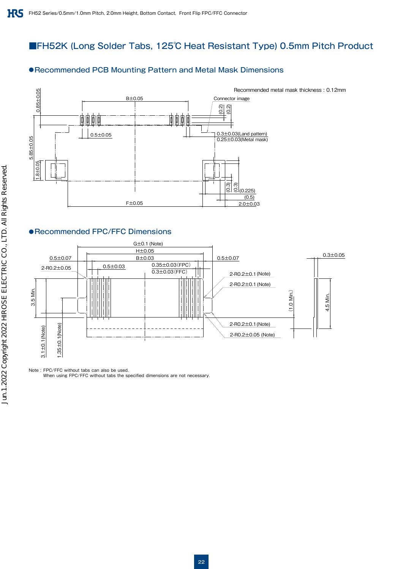### ■FH52K (Long Solder Tabs, 125℃ Heat Resistant Type) 0.5mm Pitch Product

#### ●Recommended PCB Mounting Pattern and Metal Mask Dimensions



#### ●Recommended FPC/FFC Dimensions



Note : FPC/FFC without tabs can also be used.

When using FPC/FFC without tabs the specified dimensions are not necessary.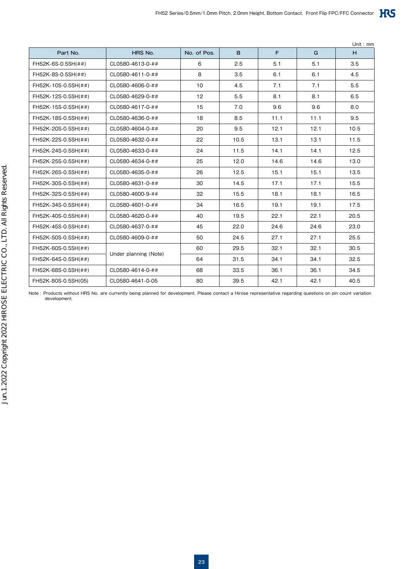| Part No.            | HRS No.               | No. of Pos. | B    | F.   | G    | H    |
|---------------------|-----------------------|-------------|------|------|------|------|
| FH52K-6S-0.5SH(##)  | CL0580-4613-0-##      | 6           | 2.5  | 5.1  | 5.1  | 3.5  |
| FH52K-8S-0.5SH(##)  | CL0580-4611-0-##      | 8           | 3.5  | 6.1  | 6.1  | 4.5  |
| FH52K-10S-0.5SH(##) | CL0580-4606-0-##      | 10          | 4.5  | 7.1  | 7.1  | 5.5  |
| FH52K-12S-0.5SH(##) | CL0580-4629-0-##      | 12          | 5.5  | 8.1  | 8.1  | 6.5  |
| FH52K-15S-0.5SH(##) | CL0580-4617-0-##      | 15          | 7.0  | 9.6  | 9.6  | 8.0  |
| FH52K-18S-0.5SH(##) | CL0580-4636-0-##      | 18          | 8.5  | 11.1 | 11.1 | 9.5  |
| FH52K-20S-0.5SH(##) | CL0580-4604-0-##      | 20          | 9.5  | 12.1 | 12.1 | 10.5 |
| FH52K-22S-0.5SH(##) | CL0580-4632-0-##      | 22          | 10.5 | 13.1 | 13.1 | 11.5 |
| FH52K-24S-0.5SH(##) | CL0580-4633-0-##      | 24          | 11.5 | 14.1 | 14.1 | 12.5 |
| FH52K-25S-0.5SH(##) | CL0580-4634-0-##      | 25          | 12.0 | 14.6 | 14.6 | 13.0 |
| FH52K-26S-0.5SH(##) | CL0580-4635-0-##      | 26          | 12.5 | 15.1 | 15.1 | 13.5 |
| FH52K-30S-0.5SH(##) | CL0580-4631-0-##      | 30          | 14.5 | 17.1 | 17.1 | 15.5 |
| FH52K-32S-0.5SH(##) | CL0580-4600-9-##      | 32          | 15.5 | 18.1 | 18.1 | 16.5 |
| FH52K-34S-0.5SH(##) | CL0580-4601-0-##      | 34          | 16.5 | 19.1 | 19.1 | 17.5 |
| FH52K-40S-0.5SH(##) | CL0580-4620-0-##      | 40          | 19.5 | 22.1 | 22.1 | 20.5 |
| FH52K-45S-0.5SH(##) | CL0580-4637-0-##      | 45          | 22.0 | 24.6 | 24.6 | 23.0 |
| FH52K-50S-0.5SH(##) | CL0580-4609-0-##      | 50          | 24.5 | 27.1 | 27.1 | 25.5 |
| FH52K-60S-0.5SH(##) |                       | 60          | 29.5 | 32.1 | 32.1 | 30.5 |
| FH52K-64S-0.5SH(##) | Under planning (Note) | 64          | 31.5 | 34.1 | 34.1 | 32.5 |
| FH52K-68S-0.5SH(##) | CL0580-4614-0-##      | 68          | 33.5 | 36.1 | 36.1 | 34.5 |
| FH52K-80S-0.5SH(05) | CL0580-4641-0-05      | 80          | 39.5 | 42.1 | 42.1 | 40.5 |

Note : Products without HRS No. are currently being planned for development. Please contact a Hirose representative regarding questions on pin count variation development.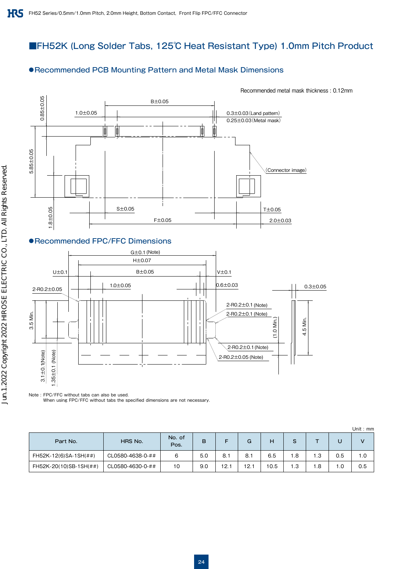### ■FH52K (Long Solder Tabs, 125℃ Heat Resistant Type) 1.0mm Pitch Product

#### ●Recommended PCB Mounting Pattern and Metal Mask Dimensions



#### ●Recommended FPC/FFC Dimensions



Note : FPC/FFC without tabs can also be used.

When using FPC/FFC without tabs the specified dimensions are not necessary.

|                        |                  |                |     |     |      |      |     |     |      | Unit : $mm$ |
|------------------------|------------------|----------------|-----|-----|------|------|-----|-----|------|-------------|
| Part No.               | HRS No.          | No. of<br>Pos. | B   |     | G    | н    | S   |     |      | v           |
| FH52K-12(6)SA-1SH(##)  | CL0580-4638-0-## | 6              | 5.0 | 8.1 | 8.1  | 6.5  | 8.، | 1.3 | 0.5  | 0.١         |
| FH52K-20(10)SB-1SH(##) | CL0580-4630-0-## | 10             | 9.0 | 12. | 12.1 | 10.5 | 1.3 | 1.8 | . .0 | 0.5         |

#### Recommended metal mask thickness : 0.12mm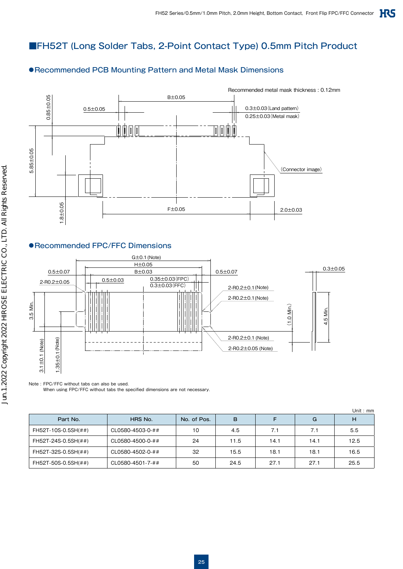### ■FH52T (Long Solder Tabs, 2-Point Contact Type) 0.5mm Pitch Product

#### ●Recommended PCB Mounting Pattern and Metal Mask Dimensions



#### ●Recommended FPC/FFC Dimensions



Note : FPC/FFC without tabs can also be used. When using FPC/FFC without tabs the specified dimensions are not necessary.

|                     |                  |             |      |      |      | Unit: $mm$ |
|---------------------|------------------|-------------|------|------|------|------------|
| Part No.            | HRS No.          | No. of Pos. | B    |      | G    | н          |
| FH52T-10S-0.5SH(##) | CL0580-4503-0-## | 10          | 4.5  | 7.1  | 7.1  | 5.5        |
| FH52T-24S-0.5SH(##) | CL0580-4500-0-## | 24          | 11.5 | 14.1 | 14.1 | 12.5       |
| FH52T-32S-0.5SH(##) | CL0580-4502-0-## | 32          | 15.5 | 18.1 | 18.1 | 16.5       |
| FH52T-50S-0.5SH(##) | CL0580-4501-7-## | 50          | 24.5 | 27.1 | 27.1 | 25.5       |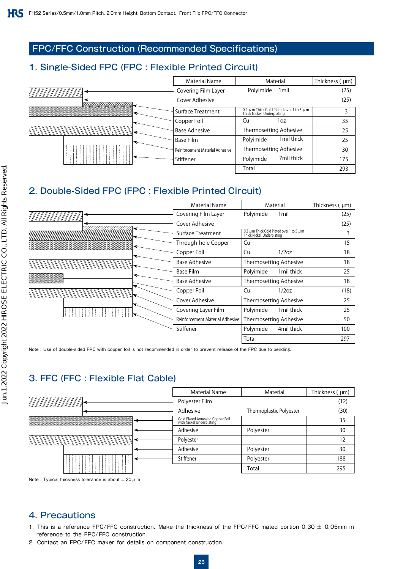### FPC/FFC Construction (Recommended Specifications)

### 1. Single-Sided FPC (FPC : Flexible Printed Circuit)

|                | <b>Material Name</b>            | Material                                                                       | Thickness ( µm) |
|----------------|---------------------------------|--------------------------------------------------------------------------------|-----------------|
| VIIIIIIIIIIIII | Covering Film Layer             | Polyimide<br>1 <sub>mil</sub>                                                  | (25)            |
|                | Cover Adhesive                  |                                                                                | (25)            |
|                | Surface Treatment               | 0.2 $\mu$ m Thick Gold Plated over 1 to 5 $\mu$ m<br>Thick Nickel Underplating | 3               |
|                | Copper Foil                     | Cu<br>1oz                                                                      | 35              |
|                | <b>Base Adhesive</b>            | Thermosetting Adhesive                                                         | 25              |
|                | <b>Base Film</b>                | 1mil thick<br>Polyimide                                                        | 25              |
|                | Reinforcement Material Adhesive | Thermosetting Adhesive                                                         | 30              |
|                | Stiffener                       | 7mil thick<br>Polyimide                                                        | 175             |
|                |                                 | Total                                                                          | 293             |

### 2. Double-Sided FPC (FPC : Flexible Printed Circuit)

|           | Material Name                   | Material                                                                       | Thickness ( µm) |
|-----------|---------------------------------|--------------------------------------------------------------------------------|-----------------|
| '######## | Covering Film Layer             | Polyimide<br>1 <sub>mil</sub>                                                  | (25)            |
|           | Cover Adhesive                  |                                                                                | (25)            |
|           | Surface Treatment               | 0.2 $\mu$ m Thick Gold Plated over 1 to 5 $\mu$ m<br>Thick Nickel Underplating | 3               |
|           | Through-hole Copper             | Cu                                                                             | 15              |
|           | Copper Foil                     | Cu<br>1/2oz                                                                    | 18              |
|           | Base Adhesive                   | Thermosetting Adhesive                                                         | 18              |
|           | Base Film                       | Polyimide<br>1mil thick                                                        | 25              |
|           | <b>Base Adhesive</b>            | Thermosetting Adhesive                                                         | 18              |
|           | Copper Foil                     | Cu<br>1/2oz                                                                    | (18)            |
|           | Cover Adhesive                  | Thermosetting Adhesive                                                         | 25              |
|           | Covering Layer Film             | Polyimide<br>1mil thick                                                        | 25              |
|           | Reinforcement Material Adhesive | Thermosetting Adhesive                                                         | 50              |
|           | Stiffener                       | Polyimide<br>4mil thick                                                        | 100             |
|           |                                 | Total                                                                          | 297             |

Note : Use of double-sided FPC with copper foil is not recommended in order to prevent release of the FPC due to bending.

### 3. FFC (FFC : Flexible Flat Cable)

| <b>Material Name</b>                                         | Material                | Thickness $(\mu m)$ |
|--------------------------------------------------------------|-------------------------|---------------------|
| Polyester Film                                               |                         | (12)                |
| Adhesive                                                     | Thermoplastic Polyester | (30)                |
| Gold Plated Annealed Copper Foil<br>with Nickel Underplating |                         | 35                  |
| Adhesive                                                     | Polyester               | 30                  |
| Polyester                                                    |                         | 12                  |
| Adhesive                                                     | Polyester               | 30                  |
| Stiffener                                                    | Polyester               | 188                 |
|                                                              | Total                   | 295                 |
|                                                              |                         |                     |



#### 4. Precautions

- 1. This is a reference FPC/FFC construction. Make the thickness of the FPC/FFC mated portion 0.30 ± 0.05mm in reference to the FPC/FFC construction.
- 2. Contact an FPC/FFC maker for details on component construction.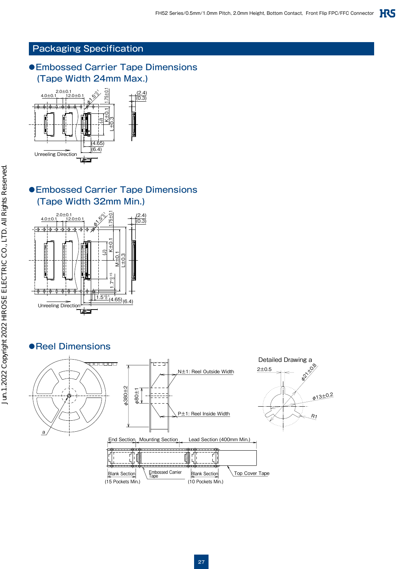### Packaging Specification

### ● Embossed Carrier Tape Dimensions (Tape Width 24mm Max.)



### ● Embossed Carrier Tape Dimensions (Tape Width 32mm Min.)



### ●Reel Dimensions



27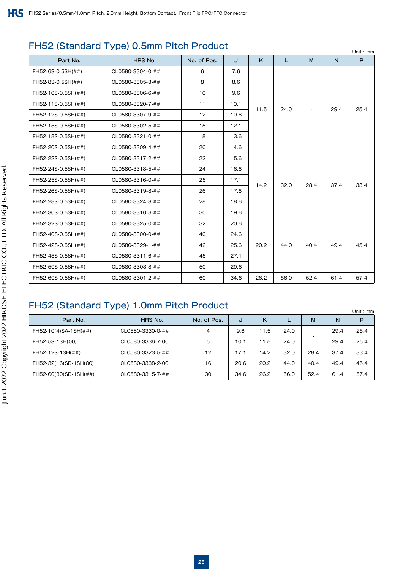### FH52 (Standard Type) 0.5mm Pitch Product

|                    |                  |             |      |      |      |      |      | Unit: $mm$ |
|--------------------|------------------|-------------|------|------|------|------|------|------------|
| Part No.           | HRS No.          | No. of Pos. | J    | K    | L    | M    | N    | P          |
| FH52-6S-0.5SH(##)  | CL0580-3304-0-## | 6           | 7.6  |      |      |      |      |            |
| FH52-8S-0.5SH(##)  | CL0580-3305-3-## | 8           | 8.6  |      |      |      |      |            |
| FH52-10S-0.5SH(##) | CL0580-3306-6-## | 10          | 9.6  |      |      |      |      |            |
| FH52-11S-0.5SH(##) | CL0580-3320-7-## | 11          | 10.1 | 11.5 | 24.0 |      | 29.4 | 25.4       |
| FH52-12S-0.5SH(##) | CL0580-3307-9-## | 12          | 10.6 |      |      |      |      |            |
| FH52-15S-0.5SH(##) | CL0580-3302-5-## | 15          | 12.1 |      |      |      |      |            |
| FH52-18S-0.5SH(##) | CL0580-3321-0-## | 18          | 13.6 |      |      |      |      |            |
| FH52-20S-0.5SH(##) | CL0580-3309-4-## | 20          | 14.6 |      |      |      |      |            |
| FH52-22S-0.5SH(##) | CL0580-3317-2-## | 22          | 15.6 |      |      |      |      |            |
| FH52-24S-0.5SH(##) | CL0580-3318-5-## | 24          | 16.6 |      |      |      |      |            |
| FH52-25S-0.5SH(##) | CL0580-3316-0-## | 25          | 17.1 | 14.2 | 32.0 | 28.4 | 37.4 | 33.4       |
| FH52-26S-0.5SH(##) | CL0580-3319-8-## | 26          | 17.6 |      |      |      |      |            |
| FH52-28S-0.5SH(##) | CL0580-3324-8-## | 28          | 18.6 |      |      |      |      |            |
| FH52-30S-0.5SH(##) | CL0580-3310-3-## | 30          | 19.6 |      |      |      |      |            |
| FH52-32S-0.5SH(##) | CL0580-3325-0-## | 32          | 20.6 |      |      |      |      |            |
| FH52-40S-0.5SH(##) | CL0580-3300-0-## | 40          | 24.6 |      |      |      |      |            |
| FH52-42S-0.5SH(##) | CL0580-3329-1-## | 42          | 25.6 | 20.2 | 44.0 | 40.4 | 49.4 | 45.4       |
| FH52-45S-0.5SH(##) | CL0580-3311-6-## | 45          | 27.1 |      |      |      |      |            |
| FH52-50S-0.5SH(##) | CL0580-3303-8-## | 50          | 29.6 |      |      |      |      |            |
| FH52-60S-0.5SH(##) | CL0580-3301-2-## | 60          | 34.6 | 26.2 | 56.0 | 52.4 | 61.4 | 57.4       |

### FH52 (Standard Type) 1.0mm Pitch Product

|                       |                  |             |      |      |      |      |      | Unit: mm |
|-----------------------|------------------|-------------|------|------|------|------|------|----------|
| Part No.              | HRS No.          | No. of Pos. | J    | κ    |      | M    | N    | P        |
| FH52-10(4)SA-1SH(##)  | CL0580-3330-0-## | 4           | 9.6  | 11.5 | 24.0 |      | 29.4 | 25.4     |
| FH52-5S-1SH(00)       | CL0580-3336-7-00 | 5           | 10.1 | 11.5 | 24.0 |      | 29.4 | 25.4     |
| FH52-12S-1SH(##)      | CL0580-3323-5-## | 12          | 17.1 | 14.2 | 32.0 | 28.4 | 37.4 | 33.4     |
| FH52-32(16)SB-1SH(00) | CL0580-3338-2-00 | 16          | 20.6 | 20.2 | 44.0 | 40.4 | 49.4 | 45.4     |
| FH52-60(30)SB-1SH(##) | CL0580-3315-7-## | 30          | 34.6 | 26.2 | 56.0 | 52.4 | 61.4 | 57.4     |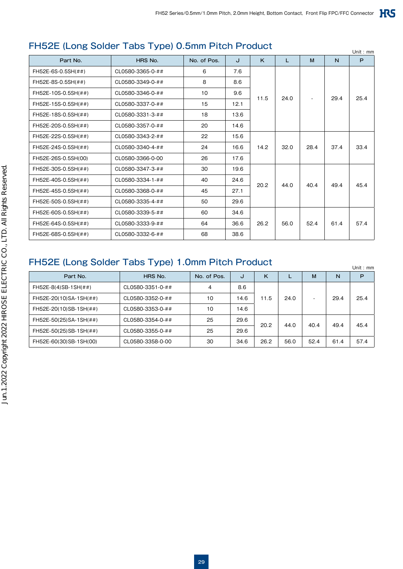### FH52E (Long Solder Tabs Type) 0.5mm Pitch Product

| <u>LOLL (LONG OURCH TADS TYPE) ORIHITI ILOHI TORROL</u><br>Unit: $mm$ |                  |             |      |      |              |      |      |      |
|-----------------------------------------------------------------------|------------------|-------------|------|------|--------------|------|------|------|
| Part No.                                                              | HRS No.          | No. of Pos. | J    | K    | $\mathbf{L}$ | M    | N    | P    |
| FH52E-6S-0.5SH(##)                                                    | CL0580-3365-0-## | 6           | 7.6  |      |              |      |      |      |
| FH52E-8S-0.5SH(##)                                                    | CL0580-3349-0-## | 8           | 8.6  |      |              |      |      |      |
| FH52E-10S-0.5SH(##)                                                   | CL0580-3346-0-## | 10          | 9.6  | 11.5 | 24.0         |      | 29.4 | 25.4 |
| FH52E-15S-0.5SH(##)                                                   | CL0580-3337-0-## | 15          | 12.1 |      |              |      |      |      |
| FH52E-18S-0.5SH(##)                                                   | CL0580-3331-3-## | 18          | 13.6 |      |              |      |      |      |
| FH52E-20S-0.5SH(##)                                                   | CL0580-3357-0-## | 20          | 14.6 |      |              |      |      |      |
| FH52E-22S-0.5SH(##)                                                   | CL0580-3343-2-## | 22          | 15.6 |      |              |      | 37.4 |      |
| FH52E-24S-0.5SH(##)                                                   | CL0580-3340-4-## | 24          | 16.6 | 14.2 | 32.0         | 28.4 |      | 33.4 |
| FH52E-26S-0.5SH(00)                                                   | CL0580-3366-0-00 | 26          | 17.6 |      |              |      |      |      |
| FH52E-30S-0.5SH(##)                                                   | CL0580-3347-3-## | 30          | 19.6 |      |              |      |      |      |
| FH52E-40S-0.5SH(##)                                                   | CL0580-3334-1-## | 40          | 24.6 | 20.2 | 44.0         | 40.4 | 49.4 | 45.4 |
| FH52E-45S-0.5SH(##)                                                   | CL0580-3368-0-## | 45          | 27.1 |      |              |      |      |      |
| FH52E-50S-0.5SH(##)                                                   | CL0580-3335-4-## | 50          | 29.6 |      |              |      |      |      |
| FH52E-60S-0.5SH(##)                                                   | CL0580-3339-5-## | 60          | 34.6 |      |              |      |      |      |
| FH52E-64S-0.5SH(##)                                                   | CL0580-3333-9-## | 64          | 36.6 | 26.2 | 56.0         | 52.4 | 61.4 | 57.4 |
| FH52E-68S-0.5SH(##)                                                   | CL0580-3332-6-## | 68          | 38.6 |      |              |      |      |      |

### FH52E (Long Solder Tabs Type) 1.0mm Pitch Product

| <u>TI IVEL ILVIIA UURUU TUUJI TYPU TIUIIIII TUITTI VUUUL</u> |                  |             |      |      | Unit: $mm$ |      |      |      |
|--------------------------------------------------------------|------------------|-------------|------|------|------------|------|------|------|
| Part No.                                                     | HRS No.          | No. of Pos. | J    | Κ    |            | M    | N    | P    |
| FH52E-8(4)SB-1SH(##)                                         | CL0580-3351-0-## | 4           | 8.6  |      |            |      |      |      |
| FH52E-20(10)SA-1SH(##)                                       | CL0580-3352-0-## | 10          | 14.6 | 11.5 | 24.0       |      | 29.4 | 25.4 |
| FH52E-20(10)SB-1SH(##)                                       | CL0580-3353-0-## | 10          | 14.6 |      |            |      |      |      |
| FH52E-50(25)SA-1SH(##)                                       | CL0580-3354-0-## | 25          | 29.6 | 20.2 | 44.0       | 40.4 | 49.4 | 45.4 |
| FH52E-50(25)SB-1SH(##)                                       | CL0580-3355-0-## | 25          | 29.6 |      |            |      |      |      |
| FH52E-60(30)SB-1SH(00)                                       | CL0580-3358-0-00 | 30          | 34.6 | 26.2 | 56.0       | 52.4 | 61.4 | 57.4 |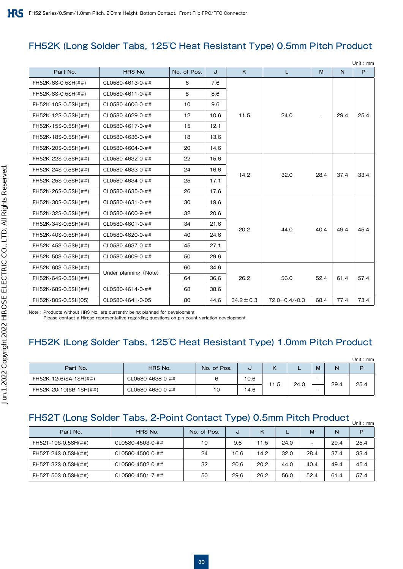### FH52K (Long Solder Tabs, 125℃ Heat Resistant Type) 0.5mm Pitch Product

|                     |                       |             |      |                |                     |      |      | Unit: mm |
|---------------------|-----------------------|-------------|------|----------------|---------------------|------|------|----------|
| Part No.            | HRS No.               | No. of Pos. | J    | K              | T.                  | M    | N    | P        |
| FH52K-6S-0.5SH(##)  | CL0580-4613-0-##      | 6           | 7.6  |                |                     |      |      |          |
| FH52K-8S-0.5SH(##)  | CL0580-4611-0-##      | 8           | 8.6  |                | 24.0                |      | 29.4 |          |
| FH52K-10S-0.5SH(##) | CL0580-4606-0-##      | 10          | 9.6  |                |                     |      |      |          |
| FH52K-12S-0.5SH(##) | CL0580-4629-0-##      | 12          | 10.6 | 11.5           |                     |      |      | 25.4     |
| FH52K-15S-0.5SH(##) | CL0580-4617-0-##      | 15          | 12.1 |                |                     |      |      |          |
| FH52K-18S-0.5SH(##) | CL0580-4636-0-##      | 18          | 13.6 |                |                     |      |      |          |
| FH52K-20S-0.5SH(##) | CL0580-4604-0-##      | 20          | 14.6 |                |                     |      |      |          |
| FH52K-22S-0.5SH(##) | CL0580-4632-0-##      | 22          | 15.6 |                | 32.0                | 28.4 | 37.4 |          |
| FH52K-24S-0.5SH(##) | CL0580-4633-0-##      | 24          | 16.6 | 14.2           |                     |      |      | 33.4     |
| FH52K-25S-0.5SH(##) | CL0580-4634-0-##      | 25          | 17.1 |                |                     |      |      |          |
| FH52K-26S-0.5SH(##) | CL0580-4635-0-##      | 26          | 17.6 |                |                     |      |      |          |
| FH52K-30S-0.5SH(##) | CL0580-4631-0-##      | 30          | 19.6 |                | 44.0                | 40.4 | 49.4 |          |
| FH52K-32S-0.5SH(##) | CL0580-4600-9-##      | 32          | 20.6 |                |                     |      |      |          |
| FH52K-34S-0.5SH(##) | CL0580-4601-0-##      | 34          | 21.6 | 20.2           |                     |      |      | 45.4     |
| FH52K-40S-0.5SH(##) | CL0580-4620-0-##      | 40          | 24.6 |                |                     |      |      |          |
| FH52K-45S-0.5SH(##) | CL0580-4637-0-##      | 45          | 27.1 |                |                     |      |      |          |
| FH52K-50S-0.5SH(##) | CL0580-4609-0-##      | 50          | 29.6 |                |                     |      |      |          |
| FH52K-60S-0.5SH(##) |                       | 60          | 34.6 |                | 56.0                | 52.4 | 61.4 |          |
| FH52K-64S-0.5SH(##) | Under planning (Note) | 64          | 36.6 | 26.2           |                     |      |      | 57.4     |
| FH52K-68S-0.5SH(##) | CL0580-4614-0-##      | 68          | 38.6 |                |                     |      |      |          |
| FH52K-80S-0.5SH(05) | CL0580-4641-0-05      | 80          | 44.6 | $34.2 \pm 0.3$ | $72.0 + 0.4 / -0.3$ | 68.4 | 77.4 | 73.4     |

Note : Products without HRS No. are currently being planned for development.

Please contact a Hirose representative regarding questions on pin count variation development.

### FH52K (Long Solder Tabs, 125℃ Heat Resistant Type) 1.0mm Pitch Product

|                        |                  |             |      |      |      |   |      | Unit : $mm$ |
|------------------------|------------------|-------------|------|------|------|---|------|-------------|
| Part No.               | HRS No.          | No. of Pos. | U    |      | -    | M | N    | D           |
| FH52K-12(6)SA-1SH(##)  | CL0580-4638-0-## | 6           | 10.6 | 11.5 | 24.0 |   | 29.4 | 25.4        |
| FH52K-20(10)SB-1SH(##) | CL0580-4630-0-## | 10          | 14.6 |      |      |   |      |             |

### FH52T (Long Solder Tabs, 2-Point Contact Type) 0.5mm Pitch Product <sub>Unit : mm</sub>

| Part No.            | HRS No.          | No. of Pos. | J    | κ    |      | м    | N    | P    |
|---------------------|------------------|-------------|------|------|------|------|------|------|
| FH52T-10S-0.5SH(##) | CL0580-4503-0-## | 10          | 9.6  | 11.5 | 24.0 |      | 29.4 | 25.4 |
| FH52T-24S-0.5SH(##) | CL0580-4500-0-## | 24          | 16.6 | 14.2 | 32.0 | 28.4 | 37.4 | 33.4 |
| FH52T-32S-0.5SH(##) | CL0580-4502-0-## | 32          | 20.6 | 20.2 | 44.0 | 40.4 | 49.4 | 45.4 |
| FH52T-50S-0.5SH(##) | CL0580-4501-7-## | 50          | 29.6 | 26.2 | 56.0 | 52.4 | 61.4 | 57.4 |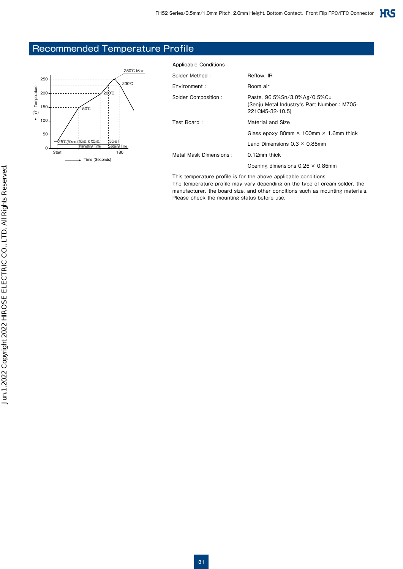### Recommended Temperature Profile



| Applicable Conditions  |                                                                                                |
|------------------------|------------------------------------------------------------------------------------------------|
| Solder Method:         | Reflow. IR                                                                                     |
| Environment:           | Room air                                                                                       |
| Solder Composition:    | Paste. 96.5%Sn/3.0%Ag/0.5%Cu<br>(Senju Metal Industry's Part Number: M705-<br>221 CM5-32-10.5) |
| Test Board:            | Material and Size                                                                              |
|                        | Glass epoxy 80mm $\times$ 100mm $\times$ 1.6mm thick                                           |
|                        | Land Dimensions $0.3 \times 0.85$ mm                                                           |
| Metal Mask Dimensions: | $0.12$ mm thick                                                                                |
|                        | Opening dimensions $0.25 \times 0.85$ mm                                                       |
|                        |                                                                                                |

This temperature profile is for the above applicable conditions. The temperature profile may vary depending on the type of cream solder, the manufacturer, the board size, and other conditions such as mounting materials. Please check the mounting status before use.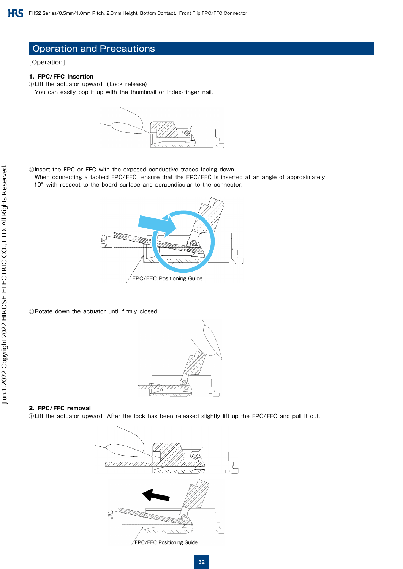### Operation and Precautions

#### [Operation]

#### **1. FPC/FFC Insertion**

①Lift the actuator upward. (Lock release) You can easily pop it up with the thumbnail or index-finger nail.



②Insert the FPC or FFC with the exposed conductive traces facing down.

 When connecting a tabbed FPC/FFC, ensure that the FPC/FFC is inserted at an angle of approximately 10° with respect to the board surface and perpendicular to the connector.



③Rotate down the actuator until firmly closed.



#### **2. FPC/FFC removal**

①Lift the actuator upward. After the lock has been released slightly lift up the FPC/FFC and pull it out.

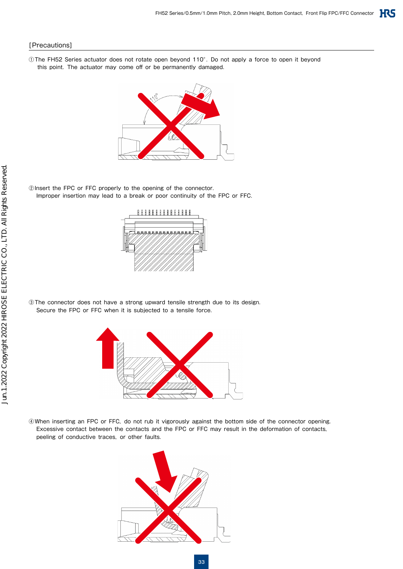#### [Precautions]

①The FH52 Series actuator does not rotate open beyond 110°. Do not apply a force to open it beyond this point. The actuator may come off or be permanently damaged.



②Insert the FPC or FFC properly to the opening of the connector. Improper insertion may lead to a break or poor continuity of the FPC or FFC.



③The connector does not have a strong upward tensile strength due to its design. Secure the FPC or FFC when it is subjected to a tensile force.



④When inserting an FPC or FFC, do not rub it vigorously against the bottom side of the connector opening. Excessive contact between the contacts and the FPC or FFC may result in the deformation of contacts, peeling of conductive traces, or other faults.

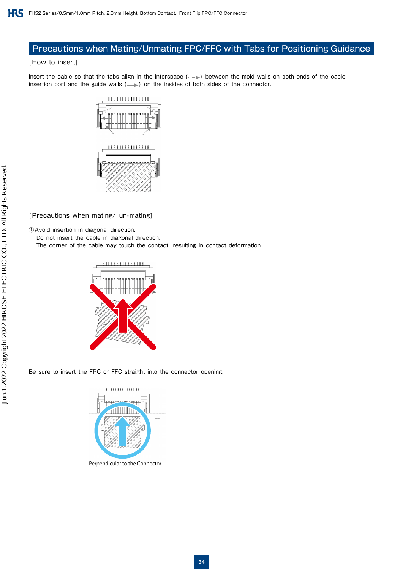### Precautions when Mating/Unmating FPC/FFC with Tabs for Positioning Guidance

#### [How to insert]

Insert the cable so that the tabs align in the interspace ( $\text{mm}$ ) between the mold walls on both ends of the cable insertion port and the guide walls  $(\longrightarrow)$  on the insides of both sides of the connector.



#### [Precautions when mating/ un-mating]

①Avoid insertion in diagonal direction.

Do not insert the cable in diagonal direction.

The corner of the cable may touch the contact, resulting in contact deformation.



Be sure to insert the FPC or FFC straight into the connector opening.